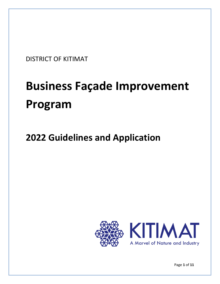DISTRICT OF KITIMAT

# **Business Façade Improvement Program**

# **2022 Guidelines and Application**



Page **1** of **11**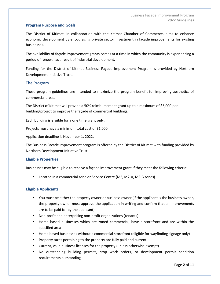#### **Program Purpose and Goals**

The District of Kitimat, in collaboration with the Kitimat Chamber of Commerce, aims to enhance economic development by encouraging private sector investment in façade improvements for existing businesses.

The availability of façade improvement grants comes at a time in which the community is experiencing a period of renewal as a result of industrial development.

Funding for the District of Kitimat Business Façade Improvement Program is provided by Northern Development Initiative Trust.

#### **The Program**

These program guidelines are intended to maximize the program benefit for improving aesthetics of commercial areas.

The District of Kitimat will provide a 50% reimbursement grant up to a maximum of \$5,000 per building/project to improve the façade of commercial buildings.

Each building is eligible for a one time grant only.

Projects must have a minimum total cost of \$1,000.

Application deadline is November 1, 2022.

The Business Façade Improvement program is offered by the District of Kitimat with funding provided by Northern Development Initiative Trust.

#### **Eligible Properties**

Businesses may be eligible to receive a façade improvement grant if they meet the following criteria:

Located in a commercial zone or Service Centre (M2, M2-A, M2-B zones)

#### **Eligible Applicants**

- You must be either the property owner or business owner (if the applicant is the business owner, the property owner must approve the application in writing and confirm that all improvements are to be paid for by the applicant)
- Non-profit and enterprising non-profit organizations (tenants)
- Home based businesses which are zoned commercial, have a storefront and are within the specified area
- Home based businesses without a commercial storefront (eligible for wayfinding signage only)
- Property taxes pertaining to the property are fully paid and current
- Current, valid business licenses for the property (unless otherwise exempt)
- No outstanding building permits, stop work orders, or development permit condition requirements outstanding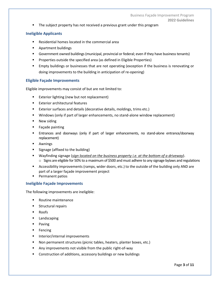**•** The subject property has not received a previous grant under this program

#### **Ineligible Applicants**

- Residential homes located in the commercial area
- Apartment buildings
- Government owned buildings (municipal, provincial or federal; even if they have business tenants)
- Properties outside the specified area (as defined in Eligible Properties)
- Empty buildings or businesses that are not operating (exception if the business is renovating or doing improvements to the building in anticipation of re-opening)

#### **Eligible Façade Improvements**

Eligible improvements may consist of but are not limited to:

- Exterior lighting (new but not replacement)
- Exterior architectural features
- Exterior surfaces and details (decorative details, moldings, trims etc.)
- Windows (only if part of larger enhancements, no stand-alone window replacement)
- New siding
- Façade painting
- **E** Entrances and doorways (only if part of larger enhancements, no stand-alone entrance/doorway replacement)
- Awnings
- Signage (affixed to the building)
- Wayfinding signage (*sign located on the business property i.e. at the bottom of a driveway*).  $\circ$  Signs are eligible for 50% to a maximum of \$500 and must adhere to any signage bylaws and regulations
- Accessibility improvements (ramps, wider doors, etc.) to the outside of the building only AND are part of a larger façade improvement project
- Permanent patios

#### **Ineligible Façade Improvements**

The following improvements are ineligible:

- Routine maintenance
- Structural repairs
- Roofs
- Landscaping
- Paving
- Fencing
- **■** Interior/internal improvements
- Non permanent structures (picnic tables, heaters, planter boxes, etc.)
- Any improvements not visible from the public right-of-way
- Construction of additions, accessory buildings or new buildings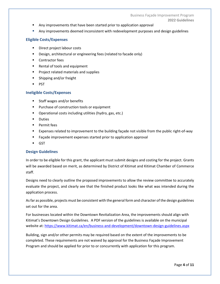- Any improvements that have been started prior to application approval
- Any improvements deemed inconsistent with redevelopment purposes and design guidelines

#### **Eligible Costs/Expenses**

- Direct project labour costs
- Design, architectural or engineering fees (related to facade only)
- Contractor fees
- Rental of tools and equipment
- Project related materials and supplies
- Shipping and/or freight
- PST

#### **Ineligible Costs/Expenses**

- Staff wages and/or benefits
- Purchase of construction tools or equipment
- Operational costs including utilities (hydro, gas, etc.)
- Duties
- Permit fees
- Expenses related to improvement to the building façade not visible from the public right-of-way
- Façade improvement expenses started prior to application approval
- GST

#### **Design Guidelines**

In order to be eligible for this grant, the applicant must submit designs and costing for the project. Grants will be awarded based on merit, as determined by District of Kitimat and Kitimat Chamber of Commerce staff.

Designs need to clearly outline the proposed improvements to allow the review committee to accurately evaluate the project, and clearly see that the finished product looks like what was intended during the application process.

As far as possible, projects must be consistent with the general form and character of the design guidelines set out for the area.

For businesses located within the Downtown Revitalization Area, the improvements should align with Kitimat's Downtown Design Guidelines. A PDF version of the guidelines is available on the municipal website at:<https://www.kitimat.ca/en/business-and-development/downtown-design-guidelines.aspx>

Building, sign and/or other permits may be required based on the extent of the improvements to be completed. These requirements are not waived by approval for the Business Façade Improvement Program and should be applied for prior to or concurrently with application for this program.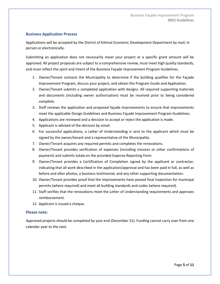#### **Business Application Process**

Applications will be accepted by the District of Kitimat Economic Development Department by mail, in person or electronically.

Submitting an application does not necessarily mean your project or a specific grant amount will be approved. All project proposals are subject to a comprehensive review, must meet high quality standards, and must reflect the spirit and intent of the Business Façade Improvement Program Guidelines.

- 1. Owner/Tenant contacts the Municipality to determine if the building qualifies for the Façade Improvement Program, discuss your project, and obtain the Program Guide and Application.
- 2. Owner/Tenant submits a completed application with designs. All required supporting materials and documents (including owner authorization) must be received prior to being considered complete.
- 3. Staff reviews the application and proposed façade improvements to ensure that improvements meet the applicable Design Guidelines and Business Façade Improvement Program Guidelines.
- 4. Applications are reviewed and a decision to accept or reject the application is made.
- 5. Applicant is advised of the decision by email.
- 6. For successful applications, a Letter of Understanding is sent to the applicant which must be signed by the owner/tenant and a representative of the Municipality.
- 7. Owner/Tenant acquires any required permits and completes the renovations.
- 8. Owner/Tenant provides verification of expenses (including invoices or other confirmations of payment) and submits totals on the provided Expense Reporting Form.
- 9. Owner/Tenant provides a Certification of Completion signed by the applicant or contractor, indicating that all work described in the application/approval and has been paid in full, as well as before and after photos, a business testimonial, and any other supporting documentation.
- 10. Owner/Tenant provides proof that the improvements have passed final inspection for municipal permits (where required) and meet all building standards and codes (where required).
- 11. Staff verifies that the renovations meet the Letter of Understanding requirements and approves reimbursement.
- 12. Applicant is issued a cheque.

#### **Please note:**

Approved projects should be completed by year end (December 31). Funding cannot carry over from one calendar year to the next.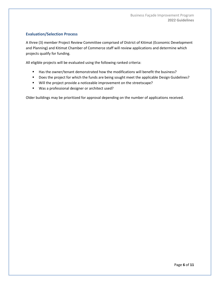#### **Evaluation/Selection Process**

A three (3) member Project Review Committee comprised of District of Kitimat (Economic Development and Planning) and Kitimat Chamber of Commerce staff will review applications and determine which projects qualify for funding.

All eligible projects will be evaluated using the following ranked criteria:

- Has the owner/tenant demonstrated how the modifications will benefit the business?
- Does the project for which the funds are being sought meet the applicable Design Guidelines?
- Will the project provide a noticeable improvement on the streetscape?
- Was a professional designer or architect used?

Older buildings may be prioritized for approval depending on the number of applications received.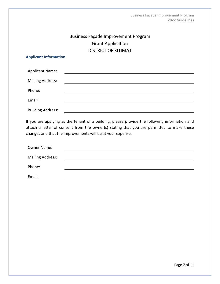## Business Façade Improvement Program Grant Application DISTRICT OF KITIMAT

#### **Applicant Information**

| <b>Applicant Name:</b>   |  |
|--------------------------|--|
| <b>Mailing Address:</b>  |  |
| Phone:                   |  |
| Email:                   |  |
| <b>Building Address:</b> |  |

If you are applying as the tenant of a building, please provide the following information and attach a letter of consent from the owner(s) stating that you are permitted to make these changes and that the improvements will be at your expense.

| Owner Name:             |  |
|-------------------------|--|
| <b>Mailing Address:</b> |  |
| Phone:                  |  |
| Email:                  |  |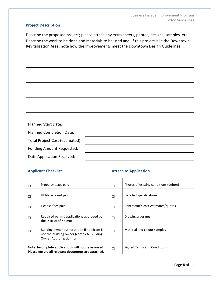#### **Project Description**

Describe the proposed project; please attach any extra sheets, photos, designs, samples, etc. Describe the work to be done and materials to be used and, if this project is in the Downtown Revitalization Area, note how the improvements meet the Downtown Design Guidelines.

| <b>Planned Start Date:</b>       |  |
|----------------------------------|--|
| <b>Planned Completion Date:</b>  |  |
| Total Project Cost (estimated):  |  |
| <b>Funding Amount Requested:</b> |  |
| Date Application Received:       |  |

| <b>Applicant Checklist</b>                                                                                |                                                                                                                        | <b>Attach to Application</b> |                                        |
|-----------------------------------------------------------------------------------------------------------|------------------------------------------------------------------------------------------------------------------------|------------------------------|----------------------------------------|
|                                                                                                           | Property taxes paid                                                                                                    | □                            | Photos of existing conditions (before) |
|                                                                                                           | Utility account paid                                                                                                   | П                            | Detailed specifications                |
| □                                                                                                         | License fees paid                                                                                                      | □                            | Contractor's cost estimates/quotes     |
|                                                                                                           | Required permit applications approved by<br>the District of Kitimat                                                    | П                            | Drawings/designs                       |
|                                                                                                           | Building owner authorization if applicant is<br>not the building owner (complete Building<br>Owner Authorization form) | П                            | Material and colour samples            |
| Note: Incomplete applications will not be assessed.<br>Please ensure all relevant documents are attached. |                                                                                                                        | П                            | Signed Terms and Conditions            |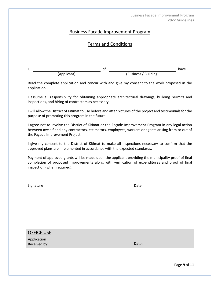Business Façade Improvement Program **2022 Guidelines**

#### Business Façade Improvement Program

#### Terms and Conditions

| ., |             |  |                       | have |
|----|-------------|--|-----------------------|------|
|    | (Applicant) |  | (Business / Building) |      |

Read the complete application and concur with and give my consent to the work proposed in the application.

I assume all responsibility for obtaining appropriate architectural drawings, building permits and inspections, and hiring of contractors as necessary.

I will allow the District of Kitimat to use before and after pictures of the project and testimonials for the purpose of promoting this program in the future.

I agree not to involve the District of Kitimat or the Façade Improvement Program in any legal action between myself and any contractors, estimators, employees, workers or agents arising from or out of the Façade Improvement Project.

I give my consent to the District of Kitimat to make all inspections necessary to confirm that the approved plans are implemented in accordance with the expected standards.

Payment of approved grants will be made upon the applicant providing the municipality proof of final completion of proposed improvements along with verification of expenditures and proof of final inspection (when required).

Signature Date Date Date Date Date

OFFICE USE

Application Received by: Date: Date: Date: Date: Date: Date: Date: Date: Date: Date: Date: Date: Date: Date: Date: Date: Date: Date: Date: Date: Date: Date: Date: Date: Date: Date: Date: Date: Date: Date: Date: Date: Date: Date: Date: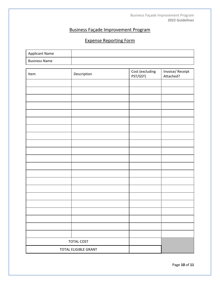## Business Façade Improvement Program

# Expense Reporting Form

| <b>Applicant Name</b> |  |
|-----------------------|--|
| <b>Business Name</b>  |  |

| Item              | Description          | Cost (excluding<br>PST/GST) | Invoice/Receipt<br>Attached? |
|-------------------|----------------------|-----------------------------|------------------------------|
|                   |                      |                             |                              |
|                   |                      |                             |                              |
|                   |                      |                             |                              |
|                   |                      |                             |                              |
|                   |                      |                             |                              |
|                   |                      |                             |                              |
|                   |                      |                             |                              |
|                   |                      |                             |                              |
|                   |                      |                             |                              |
|                   |                      |                             |                              |
|                   |                      |                             |                              |
|                   |                      |                             |                              |
|                   |                      |                             |                              |
|                   |                      |                             |                              |
|                   |                      |                             |                              |
|                   |                      |                             |                              |
|                   |                      |                             |                              |
|                   |                      |                             |                              |
|                   |                      |                             |                              |
|                   |                      |                             |                              |
|                   |                      |                             |                              |
| <b>TOTAL COST</b> |                      |                             |                              |
|                   | TOTAL ELIGIBLE GRANT |                             |                              |